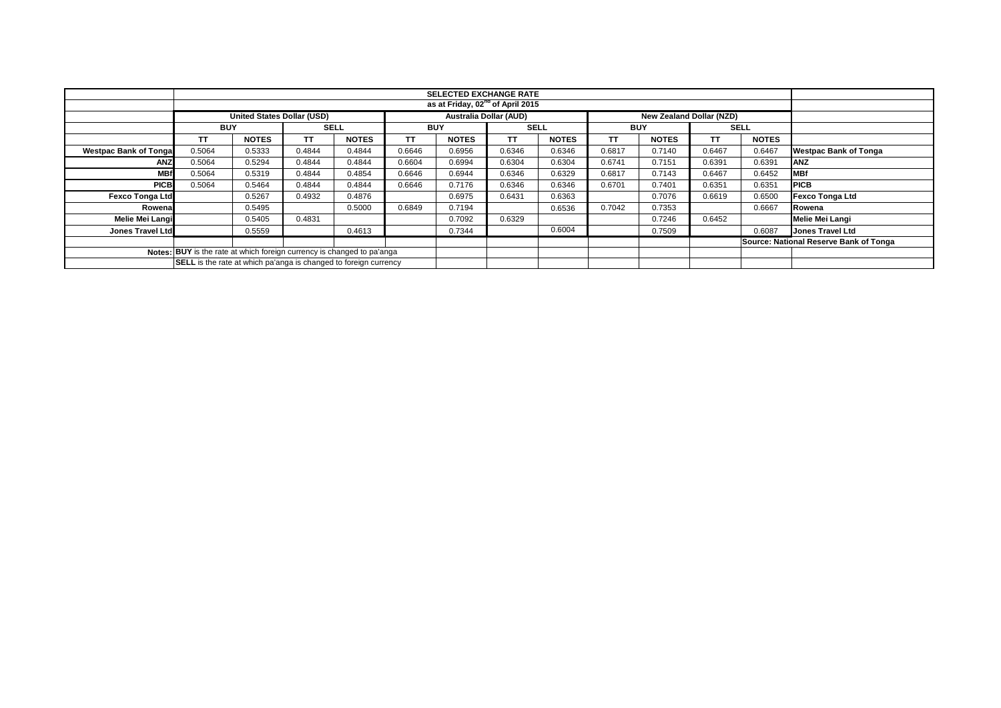|                               |                                                                         |                                   |             |              |            | <b>SELECTED EXCHANGE RATE</b><br>as at Friday, 02 <sup>nd</sup> of April 2015 |             |              |            |                                 |        |              |                                        |
|-------------------------------|-------------------------------------------------------------------------|-----------------------------------|-------------|--------------|------------|-------------------------------------------------------------------------------|-------------|--------------|------------|---------------------------------|--------|--------------|----------------------------------------|
|                               |                                                                         |                                   |             |              |            |                                                                               |             |              |            |                                 |        |              |                                        |
|                               |                                                                         | <b>United States Dollar (USD)</b> |             |              |            | <b>Australia Dollar (AUD)</b>                                                 |             |              |            | <b>New Zealand Dollar (NZD)</b> |        |              |                                        |
|                               | <b>BUY</b>                                                              |                                   | <b>SELL</b> |              | <b>BUY</b> |                                                                               | <b>SELL</b> |              | <b>BUY</b> |                                 |        | SELL         |                                        |
|                               | ТT                                                                      | <b>NOTES</b>                      | тт          | <b>NOTES</b> | TT         | <b>NOTES</b>                                                                  | TΤ          | <b>NOTES</b> | TT         | <b>NOTES</b>                    | TΤ     | <b>NOTES</b> |                                        |
| <b>Westpac Bank of Tongal</b> | 0.5064                                                                  | 0.5333                            | 0.4844      | 0.4844       | 0.6646     | 0.6956                                                                        | 0.6346      | 0.6346       | 0.6817     | 0.7140                          | 0.6467 | 0.6467       | <b>Westpac Bank of Tonga</b>           |
| ANZ                           | 0.5064                                                                  | 0.5294                            | 0.4844      | 0.4844       | 0.6604     | 0.6994                                                                        | 0.6304      | 0.6304       | 0.6741     | 0.7151                          | 0.6391 | 0.6391       | <b>ANZ</b>                             |
| <b>MBf</b>                    | 0.5064                                                                  | 0.5319                            | 0.4844      | 0.4854       | 0.6646     | 0.6944                                                                        | 0.6346      | 0.6329       | 0.6817     | 0.7143                          | 0.6467 | 0.6452       | <b>MBf</b>                             |
| <b>PICB</b>                   | 0.5064                                                                  | 0.5464                            | 0.4844      | 0.4844       | 0.6646     | 0.7176                                                                        | 0.6346      | 0.6346       | 0.6701     | 0.7401                          | 0.6351 | 0.6351       | <b>PICB</b>                            |
| <b>Fexco Tonga Ltd</b>        |                                                                         | 0.5267                            | 0.4932      | 0.4876       |            | 0.6975                                                                        | 0.6431      | 0.6363       |            | 0.7076                          | 0.6619 | 0.6500       | <b>Fexco Tonga Ltd</b>                 |
| Rowenal                       |                                                                         | 0.5495                            |             | 0.5000       | 0.6849     | 0.7194                                                                        |             | 0.6536       | 0.7042     | 0.7353                          |        | 0.6667       | Rowena                                 |
| Melie Mei Langi               |                                                                         | 0.5405                            | 0.4831      |              |            | 0.7092                                                                        | 0.6329      |              |            | 0.7246                          | 0.6452 |              | <b>Melie Mei Langi</b>                 |
| Jones Travel Ltd              |                                                                         | 0.5559                            |             | 0.4613       |            | 0.7344                                                                        |             | 0.6004       |            | 0.7509                          |        | 0.6087       | <b>Jones Travel Ltd</b>                |
|                               |                                                                         |                                   |             |              |            |                                                                               |             |              |            |                                 |        |              | Source: National Reserve Bank of Tonga |
|                               | Notes: BUY is the rate at which foreign currency is changed to pa'anga  |                                   |             |              |            |                                                                               |             |              |            |                                 |        |              |                                        |
|                               | <b>SELL</b> is the rate at which pa'anga is changed to foreign currency |                                   |             |              |            |                                                                               |             |              |            |                                 |        |              |                                        |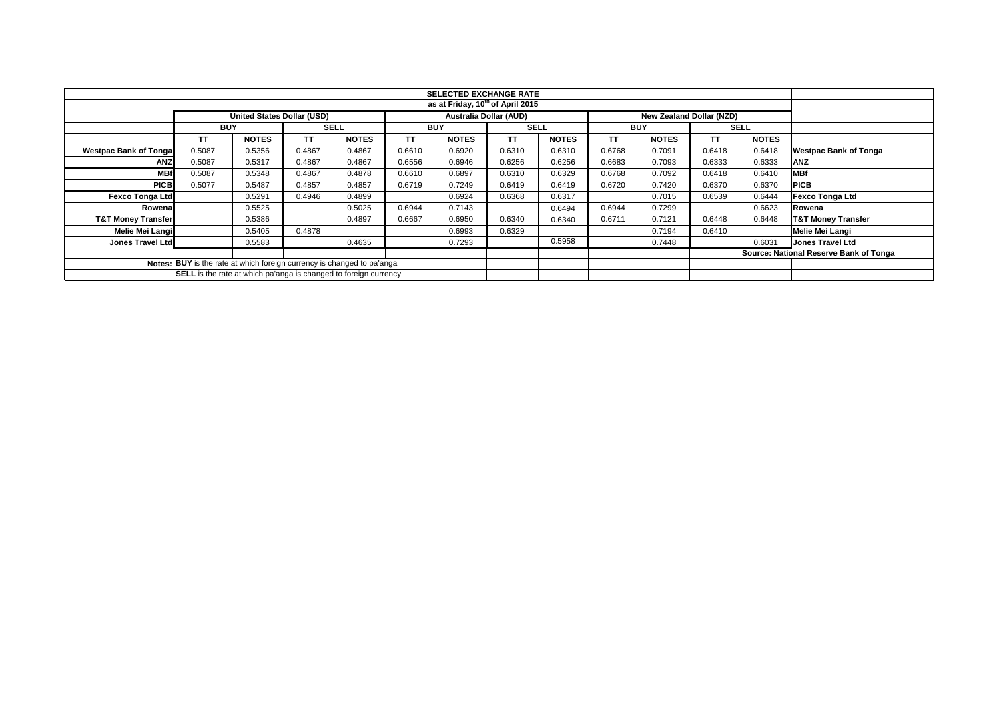|                                                                        | <b>SELECTED EXCHANGE RATE</b>                                           |                                   |             |              |            |                                                           |             |              |            |              |        |              |                                        |
|------------------------------------------------------------------------|-------------------------------------------------------------------------|-----------------------------------|-------------|--------------|------------|-----------------------------------------------------------|-------------|--------------|------------|--------------|--------|--------------|----------------------------------------|
|                                                                        |                                                                         |                                   |             |              |            | as at Friday, 10 <sup>th</sup> of April 2015              |             |              |            |              |        |              |                                        |
|                                                                        |                                                                         |                                   |             |              |            |                                                           |             |              |            |              |        |              |                                        |
|                                                                        |                                                                         | <b>United States Dollar (USD)</b> |             |              |            | <b>Australia Dollar (AUD)</b><br>New Zealand Dollar (NZD) |             |              |            |              |        |              |                                        |
|                                                                        | <b>BUY</b>                                                              |                                   | <b>SELL</b> |              | <b>BUY</b> |                                                           | <b>SELL</b> |              | <b>BUY</b> |              |        | <b>SELL</b>  |                                        |
|                                                                        | <b>TT</b>                                                               | <b>NOTES</b>                      | TΤ          | <b>NOTES</b> | <b>TT</b>  | <b>NOTES</b>                                              | TΤ          | <b>NOTES</b> | TT         | <b>NOTES</b> | TΤ     | <b>NOTES</b> |                                        |
| <b>Westpac Bank of Tongal</b>                                          | 0.5087                                                                  | 0.5356                            | 0.4867      | 0.4867       | 0.6610     | 0.6920                                                    | 0.6310      | 0.6310       | 0.6768     | 0.7091       | 0.6418 | 0.6418       | <b>Westpac Bank of Tonga</b>           |
| <b>ANZ</b>                                                             | 0.5087                                                                  | 0.5317                            | 0.4867      | 0.4867       | 0.6556     | 0.6946                                                    | 0.6256      | 0.6256       | 0.6683     | 0.7093       | 0.6333 | 0.6333       | <b>ANZ</b>                             |
| <b>MBf</b>                                                             | 0.5087                                                                  | 0.5348                            | 0.4867      | 0.4878       | 0.6610     | 0.6897                                                    | 0.6310      | 0.6329       | 0.6768     | 0.7092       | 0.6418 | 0.6410       | <b>MBf</b>                             |
| <b>PICB</b>                                                            | 0.5077                                                                  | 0.5487                            | 0.4857      | 0.4857       | 0.6719     | 0.7249                                                    | 0.6419      | 0.6419       | 0.6720     | 0.7420       | 0.6370 | 0.6370       | <b>PICB</b>                            |
| <b>Fexco Tonga Ltd</b>                                                 |                                                                         | 0.5291                            | 0.4946      | 0.4899       |            | 0.6924                                                    | 0.6368      | 0.6317       |            | 0.7015       | 0.6539 | 0.6444       | <b>Fexco Tonga Ltd</b>                 |
| Rowena                                                                 |                                                                         | 0.5525                            |             | 0.5025       | 0.6944     | 0.7143                                                    |             | 0.6494       | 0.6944     | 0.7299       |        | 0.6623       | Rowena                                 |
| <b>T&amp;T Money Transfer</b>                                          |                                                                         | 0.5386                            |             | 0.4897       | 0.6667     | 0.6950                                                    | 0.6340      | 0.6340       | 0.6711     | 0.7121       | 0.6448 | 0.6448       | <b>T&amp;T Money Transfer</b>          |
| Melie Mei Langi                                                        |                                                                         | 0.5405                            | 0.4878      |              |            | 0.6993                                                    | 0.6329      |              |            | 0.7194       | 0.6410 |              | Melie Mei Langi                        |
| <b>Jones Travel Ltd</b>                                                |                                                                         | 0.5583                            |             | 0.4635       |            | 0.7293                                                    |             | 0.5958       |            | 0.7448       |        | 0.6031       | <b>Jones Travel Ltd</b>                |
|                                                                        |                                                                         |                                   |             |              |            |                                                           |             |              |            |              |        |              | Source: National Reserve Bank of Tonga |
| Notes: BUY is the rate at which foreign currency is changed to pa'anga |                                                                         |                                   |             |              |            |                                                           |             |              |            |              |        |              |                                        |
|                                                                        | <b>SELL</b> is the rate at which pa'anga is changed to foreign currency |                                   |             |              |            |                                                           |             |              |            |              |        |              |                                        |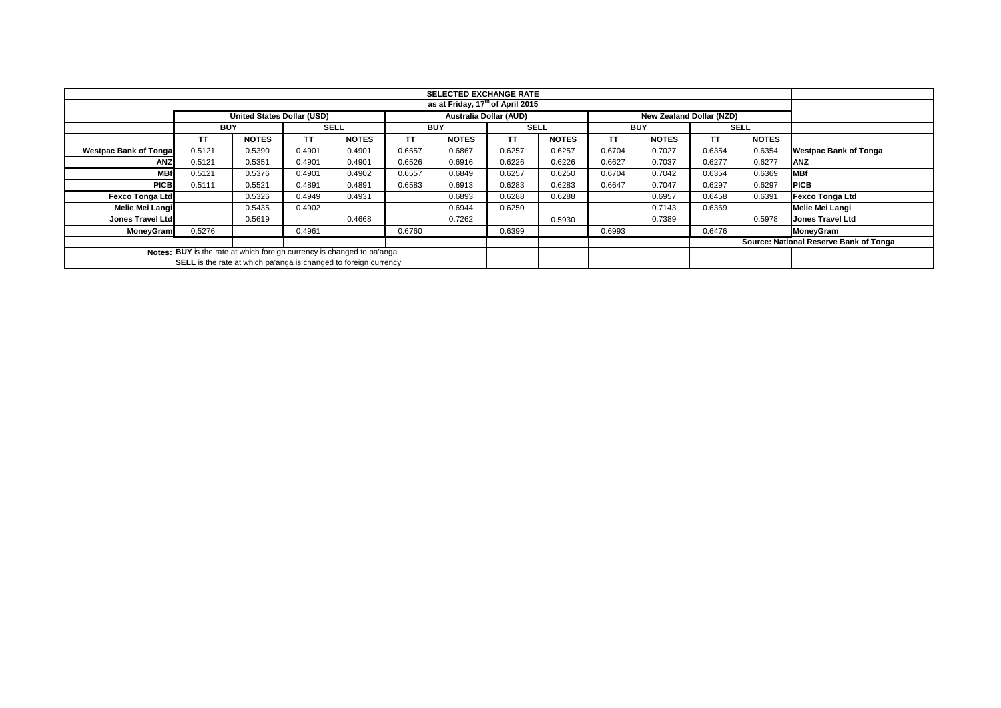|                               |                                                                         |                                   |        |              |        | <b>SELECTED EXCHANGE RATE</b><br>as at Friday, 17 <sup>th</sup> of April 2015 |             |              |        |                                 |        |              |                                        |
|-------------------------------|-------------------------------------------------------------------------|-----------------------------------|--------|--------------|--------|-------------------------------------------------------------------------------|-------------|--------------|--------|---------------------------------|--------|--------------|----------------------------------------|
|                               |                                                                         |                                   |        |              |        |                                                                               |             |              |        |                                 |        |              |                                        |
|                               |                                                                         | <b>United States Dollar (USD)</b> |        |              |        | <b>Australia Dollar (AUD)</b>                                                 |             |              |        | <b>New Zealand Dollar (NZD)</b> |        |              |                                        |
|                               | <b>BUY</b>                                                              |                                   |        | <b>SELL</b>  |        | <b>BUY</b>                                                                    | <b>SELL</b> |              |        | <b>BUY</b>                      |        | <b>SELL</b>  |                                        |
|                               | TΤ                                                                      | <b>NOTES</b>                      | TΤ     | <b>NOTES</b> | TT     | <b>NOTES</b>                                                                  | <b>TT</b>   | <b>NOTES</b> | ТT     | <b>NOTES</b>                    | ТT     | <b>NOTES</b> |                                        |
| <b>Westpac Bank of Tongal</b> | 0.5121                                                                  | 0.5390                            | 0.4901 | 0.4901       | 0.6557 | 0.6867                                                                        | 0.6257      | 0.6257       | 0.6704 | 0.7027                          | 0.6354 | 0.6354       | <b>Westpac Bank of Tonga</b>           |
| ANZ                           | 0.5121                                                                  | 0.5351                            | 0.4901 | 0.4901       | 0.6526 | 0.6916                                                                        | 0.6226      | 0.6226       | 0.6627 | 0.7037                          | 0.6277 | 0.6277       | <b>ANZ</b>                             |
| <b>MBf</b>                    | 0.5121                                                                  | 0.5376                            | 0.4901 | 0.4902       | 0.6557 | 0.6849                                                                        | 0.6257      | 0.6250       | 0.6704 | 0.7042                          | 0.6354 | 0.6369       | <b>IMBf</b>                            |
| <b>PICB</b>                   | 0.5111                                                                  | 0.5521                            | 0.4891 | 0.4891       | 0.6583 | 0.6913                                                                        | 0.6283      | 0.6283       | 0.6647 | 0.7047                          | 0.6297 | 0.6297       | <b>PICB</b>                            |
| <b>Fexco Tonga Ltd</b>        |                                                                         | 0.5326                            | 0.4949 | 0.4931       |        | 0.6893                                                                        | 0.6288      | 0.6288       |        | 0.6957                          | 0.6458 | 0.6391       | <b>Fexco Tonga Ltd</b>                 |
| Melie Mei Langi               |                                                                         | 0.5435                            | 0.4902 |              |        | 0.6944                                                                        | 0.6250      |              |        | 0.7143                          | 0.6369 |              | Melie Mei Langi                        |
| Jones Travel Ltd              |                                                                         | 0.5619                            |        | 0.4668       |        | 0.7262                                                                        |             | 0.5930       |        | 0.7389                          |        | 0.5978       | <b>Jones Travel Ltd</b>                |
| <b>MoneyGram</b>              | 0.5276                                                                  |                                   | 0.4961 |              | 0.6760 |                                                                               | 0.6399      |              | 0.6993 |                                 | 0.6476 |              | MoneyGram                              |
|                               |                                                                         |                                   |        |              |        |                                                                               |             |              |        |                                 |        |              | Source: National Reserve Bank of Tonga |
|                               | Notes: BUY is the rate at which foreign currency is changed to pa'anga  |                                   |        |              |        |                                                                               |             |              |        |                                 |        |              |                                        |
|                               | <b>SELL</b> is the rate at which pa'anga is changed to foreign currency |                                   |        |              |        |                                                                               |             |              |        |                                 |        |              |                                        |